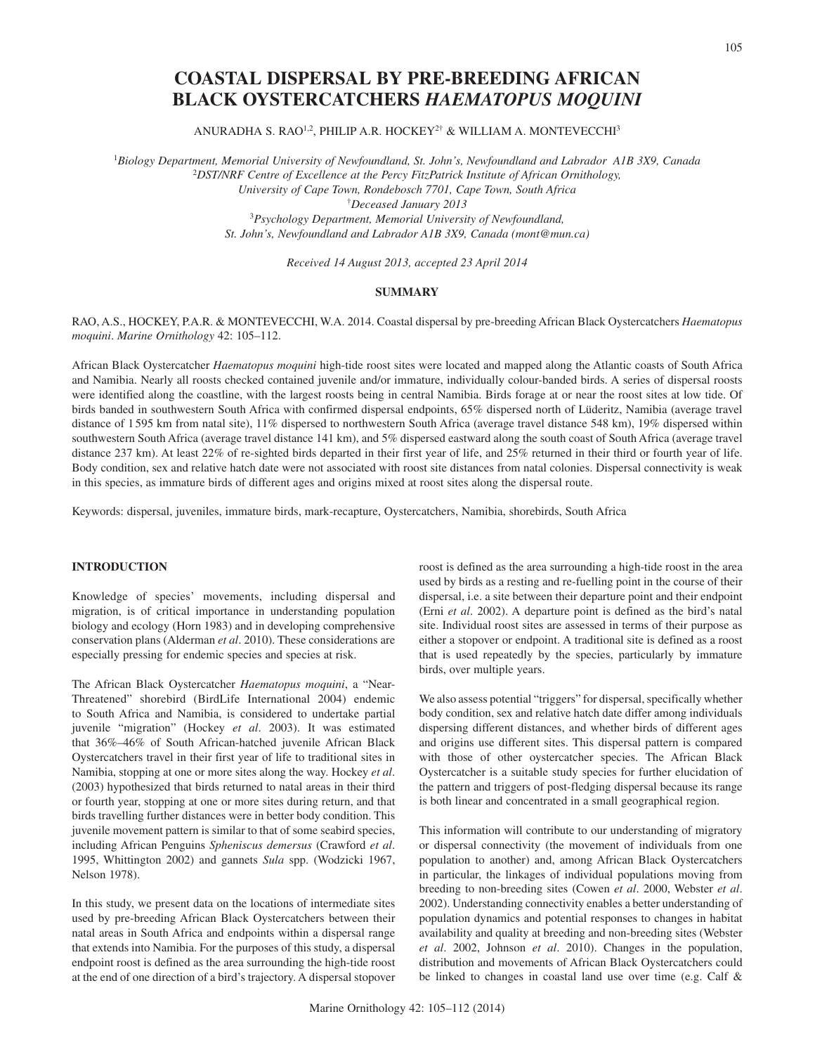# **COASTAL DISPERSAL BY PRE-BREEDING AFRICAN BLACK OYSTERCATCHERS** *HAEMATOPUS MOQUINI*

ANURADHA S. RAO<sup>1,2</sup>, PHILIP A.R. HOCKEY<sup>2†</sup> & WILLIAM A. MONTEVECCHI<sup>3</sup>

1 *Biology Department, Memorial University of Newfoundland, St. John's, Newfoundland and Labrador A1B 3X9, Canada* <sup>2</sup>*DST/NRF Centre of Excellence at the Percy FitzPatrick Institute of African Ornithology,* 

*University of Cape Town, Rondebosch 7701, Cape Town, South Africa*

†*Deceased January 2013*

<sup>3</sup>*Psychology Department, Memorial University of Newfoundland, St. John's, Newfoundland and Labrador A1B 3X9, Canada (mont@mun.ca)*

*Received 14 August 2013, accepted 23 April 2014*

# **SUMMARY**

RAO, A.S., HOCKEY, P.A.R. & MONTEVECCHI, W.A. 2014. Coastal dispersal by pre-breeding African Black Oystercatchers *Haematopus moquini*. *Marine Ornithology* 42: 105–112.

African Black Oystercatcher *Haematopus moquini* high-tide roost sites were located and mapped along the Atlantic coasts of South Africa and Namibia. Nearly all roosts checked contained juvenile and/or immature, individually colour-banded birds. A series of dispersal roosts were identified along the coastline, with the largest roosts being in central Namibia. Birds forage at or near the roost sites at low tide. Of birds banded in southwestern South Africa with confirmed dispersal endpoints, 65% dispersed north of Lüderitz, Namibia (average travel distance of 1595 km from natal site), 11% dispersed to northwestern South Africa (average travel distance 548 km), 19% dispersed within southwestern South Africa (average travel distance 141 km), and 5% dispersed eastward along the south coast of South Africa (average travel distance 237 km). At least 22% of re-sighted birds departed in their first year of life, and 25% returned in their third or fourth year of life. Body condition, sex and relative hatch date were not associated with roost site distances from natal colonies. Dispersal connectivity is weak in this species, as immature birds of different ages and origins mixed at roost sites along the dispersal route.

Keywords: dispersal, juveniles, immature birds, mark-recapture, Oystercatchers, Namibia, shorebirds, South Africa

# **INTRODUCTION**

Knowledge of species' movements, including dispersal and migration, is of critical importance in understanding population biology and ecology (Horn 1983) and in developing comprehensive conservation plans (Alderman *et al*. 2010). These considerations are especially pressing for endemic species and species at risk.

The African Black Oystercatcher *Haematopus moquini*, a "Near-Threatened" shorebird (BirdLife International 2004) endemic to South Africa and Namibia, is considered to undertake partial juvenile "migration" (Hockey *et al*. 2003). It was estimated that 36%–46% of South African-hatched juvenile African Black Oystercatchers travel in their first year of life to traditional sites in Namibia, stopping at one or more sites along the way. Hockey *et al*. (2003) hypothesized that birds returned to natal areas in their third or fourth year, stopping at one or more sites during return, and that birds travelling further distances were in better body condition. This juvenile movement pattern is similar to that of some seabird species, including African Penguins *Spheniscus demersus* (Crawford *et al*. 1995, Whittington 2002) and gannets *Sula* spp. (Wodzicki 1967, Nelson 1978).

In this study, we present data on the locations of intermediate sites used by pre-breeding African Black Oystercatchers between their natal areas in South Africa and endpoints within a dispersal range that extends into Namibia. For the purposes of this study, a dispersal endpoint roost is defined as the area surrounding the high-tide roost at the end of one direction of a bird's trajectory. A dispersal stopover roost is defined as the area surrounding a high-tide roost in the area used by birds as a resting and re-fuelling point in the course of their dispersal, i.e. a site between their departure point and their endpoint (Erni *et al*. 2002). A departure point is defined as the bird's natal site. Individual roost sites are assessed in terms of their purpose as either a stopover or endpoint. A traditional site is defined as a roost that is used repeatedly by the species, particularly by immature birds, over multiple years.

We also assess potential "triggers" for dispersal, specifically whether body condition, sex and relative hatch date differ among individuals dispersing different distances, and whether birds of different ages and origins use different sites. This dispersal pattern is compared with those of other oystercatcher species. The African Black Oystercatcher is a suitable study species for further elucidation of the pattern and triggers of post-fledging dispersal because its range is both linear and concentrated in a small geographical region.

This information will contribute to our understanding of migratory or dispersal connectivity (the movement of individuals from one population to another) and, among African Black Oystercatchers in particular, the linkages of individual populations moving from breeding to non-breeding sites (Cowen *et al*. 2000, Webster *et al*. 2002). Understanding connectivity enables a better understanding of population dynamics and potential responses to changes in habitat availability and quality at breeding and non-breeding sites (Webster *et al*. 2002, Johnson *et al*. 2010). Changes in the population, distribution and movements of African Black Oystercatchers could be linked to changes in coastal land use over time (e.g. Calf &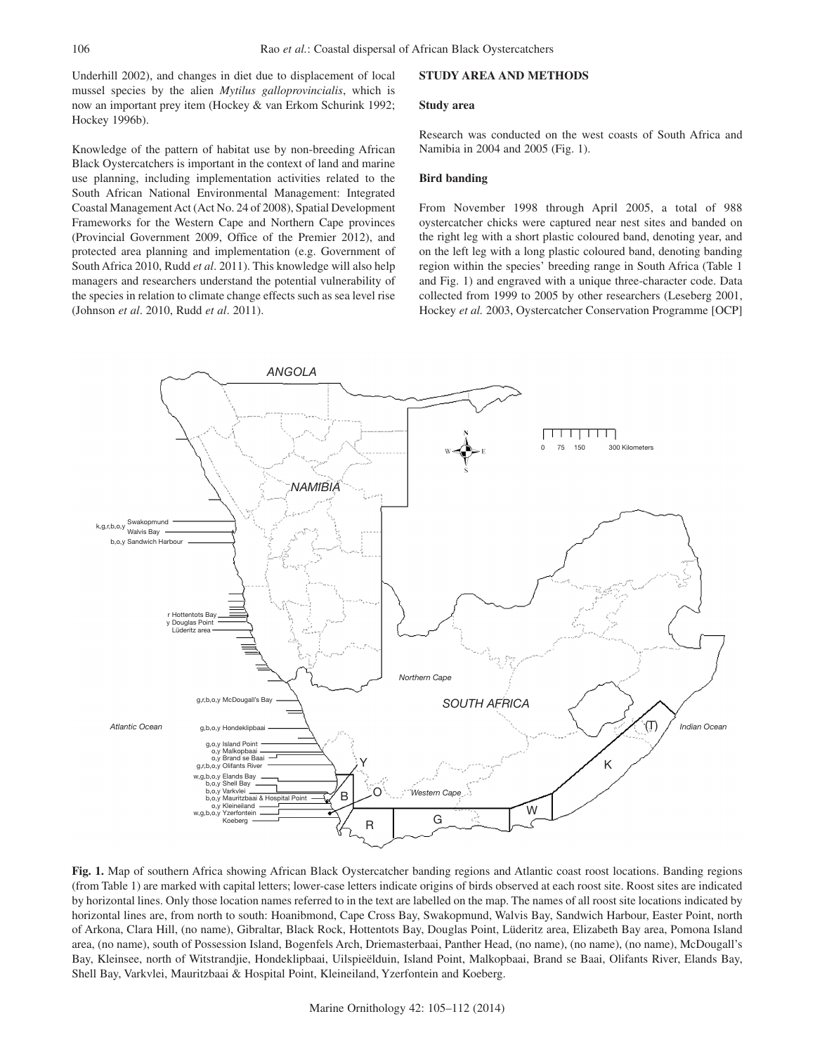Underhill 2002), and changes in diet due to displacement of local mussel species by the alien *Mytilus galloprovincialis*, which is now an important prey item (Hockey & van Erkom Schurink 1992; Hockey 1996b).

Knowledge of the pattern of habitat use by non-breeding African Black Oystercatchers is important in the context of land and marine use planning, including implementation activities related to the South African National Environmental Management: Integrated Coastal Management Act (Act No. 24 of 2008), Spatial Development Frameworks for the Western Cape and Northern Cape provinces (Provincial Government 2009, Office of the Premier 2012), and protected area planning and implementation (e.g. Government of South Africa 2010, Rudd *et al*. 2011). This knowledge will also help managers and researchers understand the potential vulnerability of the species in relation to climate change effects such as sea level rise (Johnson *et al*. 2010, Rudd *et al*. 2011).

## **STUDY AREA AND METHODS**

### **Study area**

Research was conducted on the west coasts of South Africa and Namibia in 2004 and 2005 (Fig. 1).

#### **Bird banding**

From November 1998 through April 2005, a total of 988 oystercatcher chicks were captured near nest sites and banded on the right leg with a short plastic coloured band, denoting year, and on the left leg with a long plastic coloured band, denoting banding region within the species' breeding range in South Africa (Table 1 and Fig. 1) and engraved with a unique three-character code. Data collected from 1999 to 2005 by other researchers (Leseberg 2001, Hockey *et al.* 2003, Oystercatcher Conservation Programme [OCP]



**Fig. 1.** Map of southern Africa showing African Black Oystercatcher banding regions and Atlantic coast roost locations. Banding regions (from Table 1) are marked with capital letters; lower-case letters indicate origins of birds observed at each roost site. Roost sites are indicated by horizontal lines. Only those location names referred to in the text are labelled on the map. The names of all roost site locations indicated by horizontal lines are, from north to south: Hoanibmond, Cape Cross Bay, Swakopmund, Walvis Bay, Sandwich Harbour, Easter Point, north of Arkona, Clara Hill, (no name), Gibraltar, Black Rock, Hottentots Bay, Douglas Point, Lüderitz area, Elizabeth Bay area, Pomona Island area, (no name), south of Possession Island, Bogenfels Arch, Driemasterbaai, Panther Head, (no name), (no name), (no name), McDougall's Bay, Kleinsee, north of Witstrandjie, Hondeklipbaai, Uilspieëlduin, Island Point, Malkopbaai, Brand se Baai, Olifants River, Elands Bay, Shell Bay, Varkvlei, Mauritzbaai & Hospital Point, Kleineiland, Yzerfontein and Koeberg.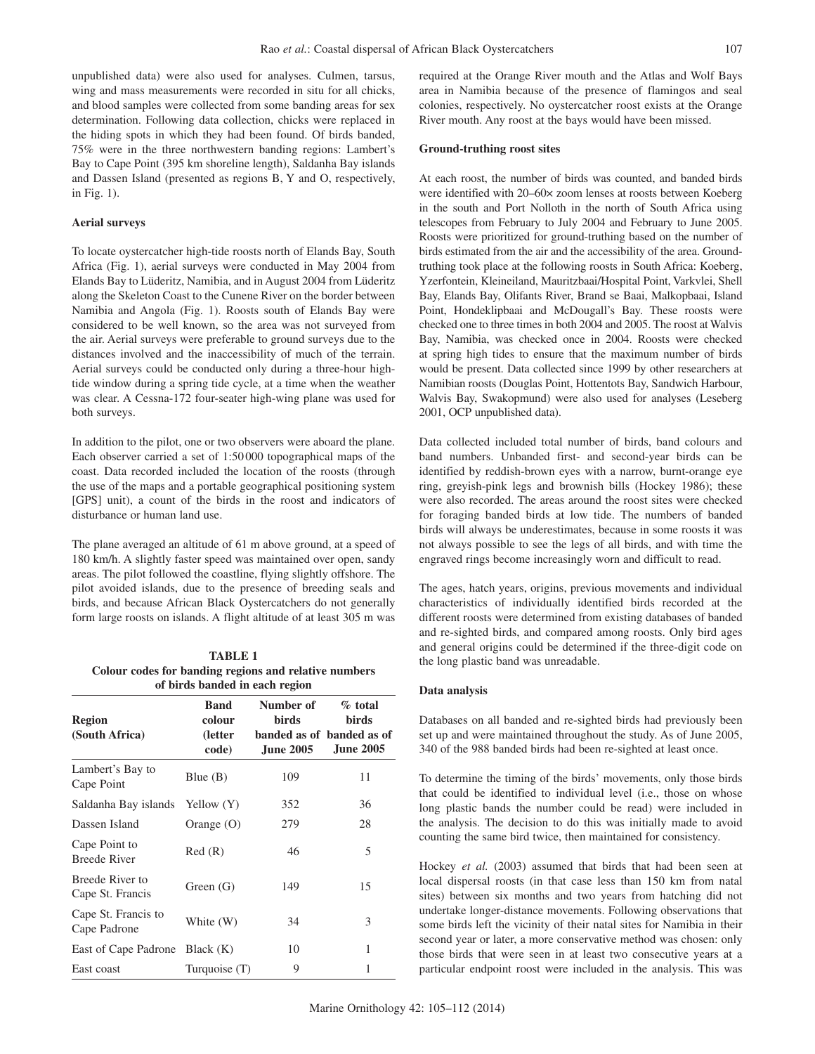unpublished data) were also used for analyses. Culmen, tarsus, wing and mass measurements were recorded in situ for all chicks, and blood samples were collected from some banding areas for sex determination. Following data collection, chicks were replaced in the hiding spots in which they had been found. Of birds banded, 75% were in the three northwestern banding regions: Lambert's Bay to Cape Point (395 km shoreline length), Saldanha Bay islands and Dassen Island (presented as regions B, Y and O, respectively, in Fig. 1).

## **Aerial surveys**

To locate oystercatcher high-tide roosts north of Elands Bay, South Africa (Fig. 1), aerial surveys were conducted in May 2004 from Elands Bay to Lüderitz, Namibia, and in August 2004 from Lüderitz along the Skeleton Coast to the Cunene River on the border between Namibia and Angola (Fig. 1). Roosts south of Elands Bay were considered to be well known, so the area was not surveyed from the air. Aerial surveys were preferable to ground surveys due to the distances involved and the inaccessibility of much of the terrain. Aerial surveys could be conducted only during a three-hour hightide window during a spring tide cycle, at a time when the weather was clear. A Cessna-172 four-seater high-wing plane was used for both surveys.

In addition to the pilot, one or two observers were aboard the plane. Each observer carried a set of 1:50 000 topographical maps of the coast. Data recorded included the location of the roosts (through the use of the maps and a portable geographical positioning system [GPS] unit), a count of the birds in the roost and indicators of disturbance or human land use.

The plane averaged an altitude of 61 m above ground, at a speed of 180 km/h. A slightly faster speed was maintained over open, sandy areas. The pilot followed the coastline, flying slightly offshore. The pilot avoided islands, due to the presence of breeding seals and birds, and because African Black Oystercatchers do not generally form large roosts on islands. A flight altitude of at least 305 m was

| <b>TABLE 1</b>                                        |
|-------------------------------------------------------|
| Colour codes for banding regions and relative numbers |
| of birds banded in each region                        |

| <b>Region</b><br>(South Africa)      | <b>Band</b><br>colour<br>(letter<br>code) | Number of<br>birds<br><b>June 2005</b> | $%$ total<br>birds<br>banded as of banded as of<br><b>June 2005</b> |
|--------------------------------------|-------------------------------------------|----------------------------------------|---------------------------------------------------------------------|
| Lambert's Bay to<br>Cape Point       | Blue $(B)$                                | 109                                    | 11                                                                  |
| Saldanha Bay islands Yellow (Y)      |                                           | 352                                    | 36                                                                  |
| Dassen Island                        | Orange $(O)$                              | 279                                    | 28                                                                  |
| Cape Point to<br><b>Breede River</b> | Red(R)                                    | 46                                     | 5                                                                   |
| Breede River to<br>Cape St. Francis  | Green $(G)$                               | 149                                    | 15                                                                  |
| Cape St. Francis to<br>Cape Padrone  | White (W)                                 | 34                                     | 3                                                                   |
| East of Cape Padrone                 | Black $(K)$                               | 10                                     | 1                                                                   |
| East coast                           | Turquoise (T)                             | 9                                      | 1                                                                   |

required at the Orange River mouth and the Atlas and Wolf Bays area in Namibia because of the presence of flamingos and seal colonies, respectively. No oystercatcher roost exists at the Orange River mouth. Any roost at the bays would have been missed.

#### **Ground-truthing roost sites**

At each roost, the number of birds was counted, and banded birds were identified with 20–60× zoom lenses at roosts between Koeberg in the south and Port Nolloth in the north of South Africa using telescopes from February to July 2004 and February to June 2005. Roosts were prioritized for ground-truthing based on the number of birds estimated from the air and the accessibility of the area. Groundtruthing took place at the following roosts in South Africa: Koeberg, Yzerfontein, Kleineiland, Mauritzbaai/Hospital Point, Varkvlei, Shell Bay, Elands Bay, Olifants River, Brand se Baai, Malkopbaai, Island Point, Hondeklipbaai and McDougall's Bay. These roosts were checked one to three times in both 2004 and 2005. The roost at Walvis Bay, Namibia, was checked once in 2004. Roosts were checked at spring high tides to ensure that the maximum number of birds would be present. Data collected since 1999 by other researchers at Namibian roosts (Douglas Point, Hottentots Bay, Sandwich Harbour, Walvis Bay, Swakopmund) were also used for analyses (Leseberg 2001, OCP unpublished data).

Data collected included total number of birds, band colours and band numbers. Unbanded first- and second-year birds can be identified by reddish-brown eyes with a narrow, burnt-orange eye ring, greyish-pink legs and brownish bills (Hockey 1986); these were also recorded. The areas around the roost sites were checked for foraging banded birds at low tide. The numbers of banded birds will always be underestimates, because in some roosts it was not always possible to see the legs of all birds, and with time the engraved rings become increasingly worn and difficult to read.

The ages, hatch years, origins, previous movements and individual characteristics of individually identified birds recorded at the different roosts were determined from existing databases of banded and re-sighted birds, and compared among roosts. Only bird ages and general origins could be determined if the three-digit code on the long plastic band was unreadable.

## **Data analysis**

Databases on all banded and re-sighted birds had previously been set up and were maintained throughout the study. As of June 2005, 340 of the 988 banded birds had been re-sighted at least once.

To determine the timing of the birds' movements, only those birds that could be identified to individual level (i.e., those on whose long plastic bands the number could be read) were included in the analysis. The decision to do this was initially made to avoid counting the same bird twice, then maintained for consistency.

Hockey *et al.* (2003) assumed that birds that had been seen at local dispersal roosts (in that case less than 150 km from natal sites) between six months and two years from hatching did not undertake longer-distance movements. Following observations that some birds left the vicinity of their natal sites for Namibia in their second year or later, a more conservative method was chosen: only those birds that were seen in at least two consecutive years at a particular endpoint roost were included in the analysis. This was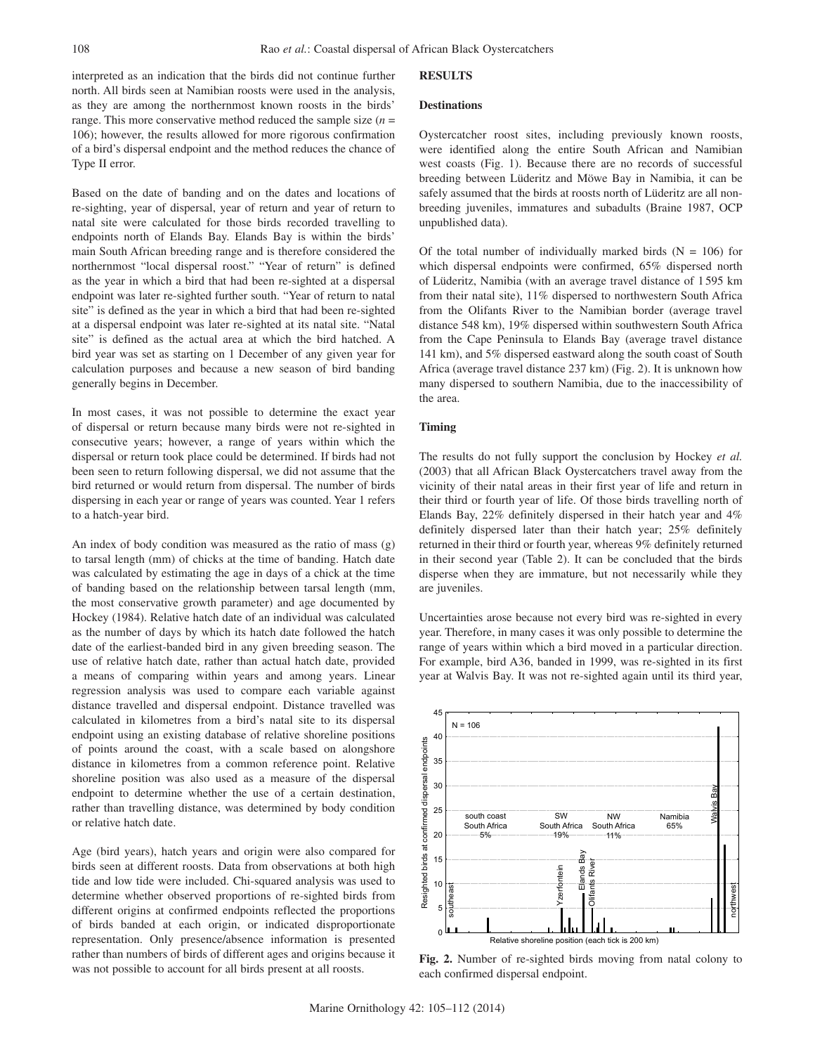interpreted as an indication that the birds did not continue further north. All birds seen at Namibian roosts were used in the analysis, as they are among the northernmost known roosts in the birds' range. This more conservative method reduced the sample size  $(n =$ 106); however, the results allowed for more rigorous confirmation of a bird's dispersal endpoint and the method reduces the chance of Type II error.

Based on the date of banding and on the dates and locations of re-sighting, year of dispersal, year of return and year of return to natal site were calculated for those birds recorded travelling to endpoints north of Elands Bay. Elands Bay is within the birds' main South African breeding range and is therefore considered the northernmost "local dispersal roost." "Year of return" is defined as the year in which a bird that had been re-sighted at a dispersal endpoint was later re-sighted further south. "Year of return to natal site" is defined as the year in which a bird that had been re-sighted at a dispersal endpoint was later re-sighted at its natal site. "Natal site" is defined as the actual area at which the bird hatched. A bird year was set as starting on 1 December of any given year for calculation purposes and because a new season of bird banding generally begins in December.

In most cases, it was not possible to determine the exact year of dispersal or return because many birds were not re-sighted in consecutive years; however, a range of years within which the dispersal or return took place could be determined. If birds had not been seen to return following dispersal, we did not assume that the bird returned or would return from dispersal. The number of birds dispersing in each year or range of years was counted. Year 1 refers to a hatch-year bird.

An index of body condition was measured as the ratio of mass (g) to tarsal length (mm) of chicks at the time of banding. Hatch date was calculated by estimating the age in days of a chick at the time of banding based on the relationship between tarsal length (mm, the most conservative growth parameter) and age documented by Hockey (1984). Relative hatch date of an individual was calculated as the number of days by which its hatch date followed the hatch date of the earliest-banded bird in any given breeding season. The use of relative hatch date, rather than actual hatch date, provided a means of comparing within years and among years. Linear regression analysis was used to compare each variable against distance travelled and dispersal endpoint. Distance travelled was calculated in kilometres from a bird's natal site to its dispersal endpoint using an existing database of relative shoreline positions of points around the coast, with a scale based on alongshore distance in kilometres from a common reference point. Relative shoreline position was also used as a measure of the dispersal endpoint to determine whether the use of a certain destination, rather than travelling distance, was determined by body condition or relative hatch date.

Age (bird years), hatch years and origin were also compared for birds seen at different roosts. Data from observations at both high tide and low tide were included. Chi-squared analysis was used to determine whether observed proportions of re-sighted birds from different origins at confirmed endpoints reflected the proportions of birds banded at each origin, or indicated disproportionate representation. Only presence/absence information is presented rather than numbers of birds of different ages and origins because it rather than numbers of birds of different ages and origins because it<br> **Fig. 2.** Number of re-sighted birds moving from natal colony to<br>
each confirmed dignareal and point

#### **RESULTS**

#### **Destinations**

Oystercatcher roost sites, including previously known roosts, were identified along the entire South African and Namibian west coasts (Fig. 1). Because there are no records of successful breeding between Lüderitz and Möwe Bay in Namibia, it can be safely assumed that the birds at roosts north of Lüderitz are all nonbreeding juveniles, immatures and subadults (Braine 1987, OCP unpublished data).

Of the total number of individually marked birds  $(N = 106)$  for which dispersal endpoints were confirmed, 65% dispersed north of Lüderitz, Namibia (with an average travel distance of 1 595 km from their natal site), 11% dispersed to northwestern South Africa from the Olifants River to the Namibian border (average travel distance 548 km), 19% dispersed within southwestern South Africa from the Cape Peninsula to Elands Bay (average travel distance 141 km), and 5% dispersed eastward along the south coast of South Africa (average travel distance 237 km) (Fig. 2). It is unknown how many dispersed to southern Namibia, due to the inaccessibility of the area.

#### **Timing**

The results do not fully support the conclusion by Hockey *et al.* (2003) that all African Black Oystercatchers travel away from the vicinity of their natal areas in their first year of life and return in their third or fourth year of life. Of those birds travelling north of Elands Bay, 22% definitely dispersed in their hatch year and 4% definitely dispersed later than their hatch year; 25% definitely returned in their third or fourth year, whereas 9% definitely returned in their second year (Table 2). It can be concluded that the birds disperse when they are immature, but not necessarily while they are juveniles.

Uncertainties arose because not every bird was re-sighted in every year. Therefore, in many cases it was only possible to determine the range of years within which a bird moved in a particular direction. For example, bird A36, banded in 1999, was re-sighted in its first year at Walvis Bay. It was not re-sighted again until its third year,



each confirmed dispersal endpoint.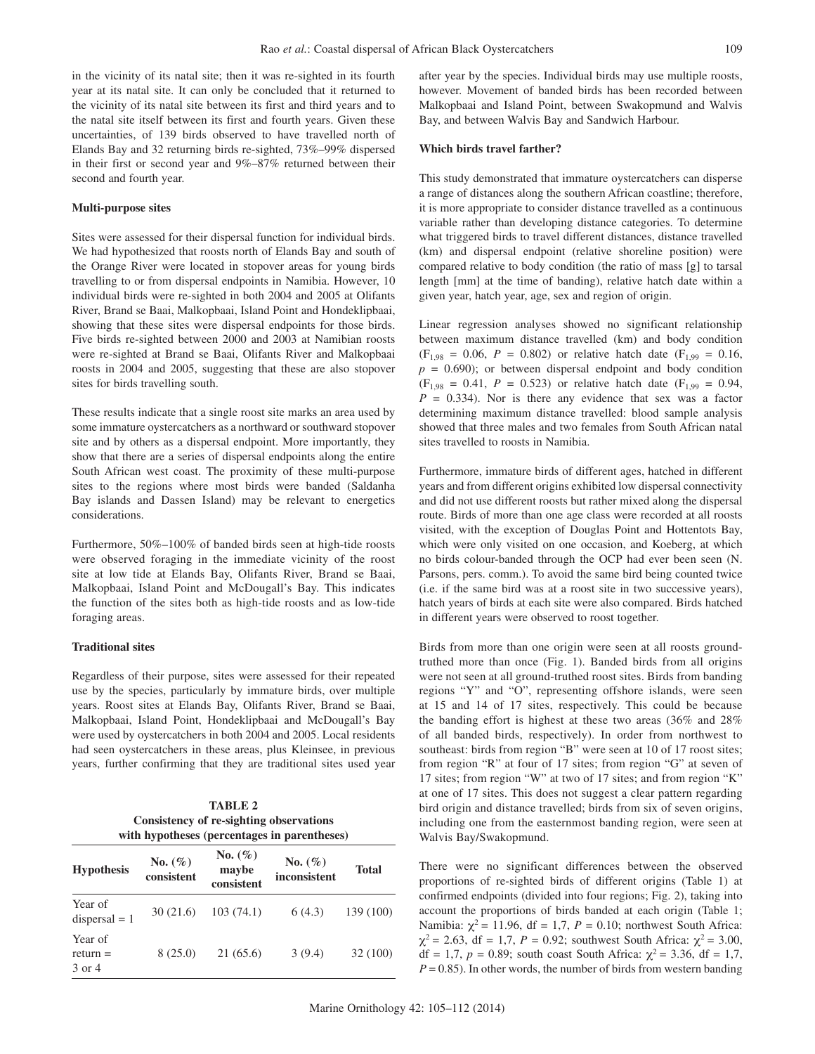in the vicinity of its natal site; then it was re-sighted in its fourth year at its natal site. It can only be concluded that it returned to the vicinity of its natal site between its first and third years and to the natal site itself between its first and fourth years. Given these uncertainties, of 139 birds observed to have travelled north of Elands Bay and 32 returning birds re-sighted, 73%–99% dispersed in their first or second year and 9%–87% returned between their second and fourth year.

#### **Multi-purpose sites**

Sites were assessed for their dispersal function for individual birds. We had hypothesized that roosts north of Elands Bay and south of the Orange River were located in stopover areas for young birds travelling to or from dispersal endpoints in Namibia. However, 10 individual birds were re-sighted in both 2004 and 2005 at Olifants River, Brand se Baai, Malkopbaai, Island Point and Hondeklipbaai, showing that these sites were dispersal endpoints for those birds. Five birds re-sighted between 2000 and 2003 at Namibian roosts were re-sighted at Brand se Baai, Olifants River and Malkopbaai roosts in 2004 and 2005, suggesting that these are also stopover sites for birds travelling south.

These results indicate that a single roost site marks an area used by some immature oystercatchers as a northward or southward stopover site and by others as a dispersal endpoint. More importantly, they show that there are a series of dispersal endpoints along the entire South African west coast. The proximity of these multi-purpose sites to the regions where most birds were banded (Saldanha Bay islands and Dassen Island) may be relevant to energetics considerations.

Furthermore, 50%–100% of banded birds seen at high-tide roosts were observed foraging in the immediate vicinity of the roost site at low tide at Elands Bay, Olifants River, Brand se Baai, Malkopbaai, Island Point and McDougall's Bay. This indicates the function of the sites both as high-tide roosts and as low-tide foraging areas.

# **Traditional sites**

Regardless of their purpose, sites were assessed for their repeated use by the species, particularly by immature birds, over multiple years. Roost sites at Elands Bay, Olifants River, Brand se Baai, Malkopbaai, Island Point, Hondeklipbaai and McDougall's Bay were used by oystercatchers in both 2004 and 2005. Local residents had seen oystercatchers in these areas, plus Kleinsee, in previous years, further confirming that they are traditional sites used year

**TABLE 2**

| $\blacksquare$ $\blacksquare$ $\blacksquare$ $\blacksquare$ $\blacksquare$<br>Consistency of re-sighting observations<br>with hypotheses (percentages in parentheses) |                           |                                    |                             |              |  |  |
|-----------------------------------------------------------------------------------------------------------------------------------------------------------------------|---------------------------|------------------------------------|-----------------------------|--------------|--|--|
| <b>Hypothesis</b>                                                                                                                                                     | No. $(\% )$<br>consistent | No. $(\% )$<br>maybe<br>consistent | No. $(\% )$<br>inconsistent | <b>Total</b> |  |  |
| Year of<br>$dispersal = 1$                                                                                                                                            | 30(21.6)                  | 103(74.1)                          | 6(4.3)                      | 139 (100)    |  |  |
| Year of<br>$return =$<br>3 or 4                                                                                                                                       | 8(25.0)                   | 21(65.6)                           | 3(9.4)                      | 32 (100)     |  |  |

after year by the species. Individual birds may use multiple roosts, however. Movement of banded birds has been recorded between Malkopbaai and Island Point, between Swakopmund and Walvis Bay, and between Walvis Bay and Sandwich Harbour.

## **Which birds travel farther?**

This study demonstrated that immature oystercatchers can disperse a range of distances along the southern African coastline; therefore, it is more appropriate to consider distance travelled as a continuous variable rather than developing distance categories. To determine what triggered birds to travel different distances, distance travelled (km) and dispersal endpoint (relative shoreline position) were compared relative to body condition (the ratio of mass [g] to tarsal length [mm] at the time of banding), relative hatch date within a given year, hatch year, age, sex and region of origin.

Linear regression analyses showed no significant relationship between maximum distance travelled (km) and body condition  $(F_{1,98} = 0.06, P = 0.802)$  or relative hatch date  $(F_{1,99} = 0.16,$  $p = 0.690$ ; or between dispersal endpoint and body condition  $(F_{1,98} = 0.41, P = 0.523)$  or relative hatch date  $(F_{1,99} = 0.94,$  $P = 0.334$ ). Nor is there any evidence that sex was a factor determining maximum distance travelled: blood sample analysis showed that three males and two females from South African natal sites travelled to roosts in Namibia.

Furthermore, immature birds of different ages, hatched in different years and from different origins exhibited low dispersal connectivity and did not use different roosts but rather mixed along the dispersal route. Birds of more than one age class were recorded at all roosts visited, with the exception of Douglas Point and Hottentots Bay, which were only visited on one occasion, and Koeberg, at which no birds colour-banded through the OCP had ever been seen (N. Parsons, pers. comm.). To avoid the same bird being counted twice (i.e. if the same bird was at a roost site in two successive years), hatch years of birds at each site were also compared. Birds hatched in different years were observed to roost together.

Birds from more than one origin were seen at all roosts groundtruthed more than once (Fig. 1). Banded birds from all origins were not seen at all ground-truthed roost sites. Birds from banding regions "Y" and "O", representing offshore islands, were seen at 15 and 14 of 17 sites, respectively. This could be because the banding effort is highest at these two areas (36% and 28% of all banded birds, respectively). In order from northwest to southeast: birds from region "B" were seen at 10 of 17 roost sites; from region "R" at four of 17 sites; from region "G" at seven of 17 sites; from region "W" at two of 17 sites; and from region "K" at one of 17 sites. This does not suggest a clear pattern regarding bird origin and distance travelled; birds from six of seven origins, including one from the easternmost banding region, were seen at Walvis Bay/Swakopmund.

There were no significant differences between the observed proportions of re-sighted birds of different origins (Table 1) at confirmed endpoints (divided into four regions; Fig. 2), taking into account the proportions of birds banded at each origin (Table 1; Namibia:  $\chi^2$  = 11.96, df = 1,7, *P* = 0.10; northwest South Africa:  $\chi^2$  = 2.63, df = 1,7, *P* = 0.92; southwest South Africa:  $\chi^2$  = 3.00, df = 1,7, *p* = 0.89; south coast South Africa:  $χ² = 3.36$ , df = 1,7,  $P = 0.85$ ). In other words, the number of birds from western banding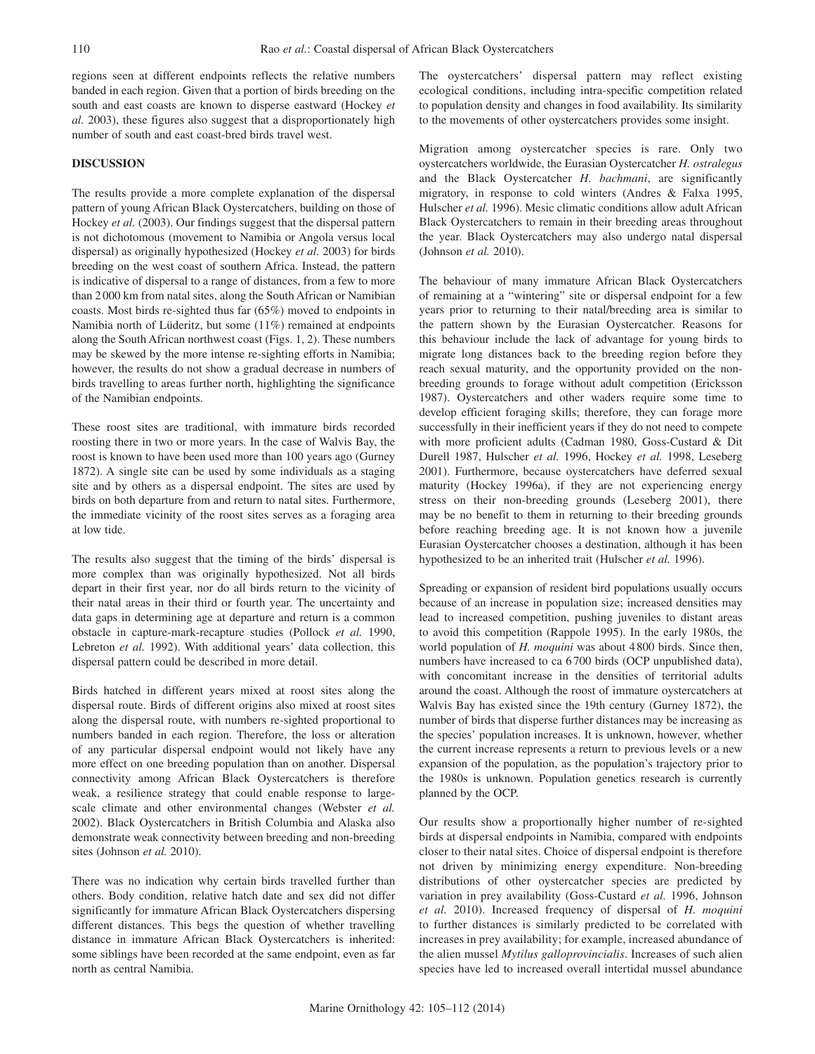regions seen at different endpoints reflects the relative numbers banded in each region. Given that a portion of birds breeding on the south and east coasts are known to disperse eastward (Hockey *et al.* 2003), these figures also suggest that a disproportionately high number of south and east coast-bred birds travel west.

# **DISCUSSION**

The results provide a more complete explanation of the dispersal pattern of young African Black Oystercatchers, building on those of Hockey *et al.* (2003). Our findings suggest that the dispersal pattern is not dichotomous (movement to Namibia or Angola versus local dispersal) as originally hypothesized (Hockey *et al.* 2003) for birds breeding on the west coast of southern Africa. Instead, the pattern is indicative of dispersal to a range of distances, from a few to more than 2000 km from natal sites, along the South African or Namibian coasts. Most birds re-sighted thus far (65%) moved to endpoints in Namibia north of Lüderitz, but some (11%) remained at endpoints along the South African northwest coast (Figs. 1, 2). These numbers may be skewed by the more intense re-sighting efforts in Namibia; however, the results do not show a gradual decrease in numbers of birds travelling to areas further north, highlighting the significance of the Namibian endpoints.

These roost sites are traditional, with immature birds recorded roosting there in two or more years. In the case of Walvis Bay, the roost is known to have been used more than 100 years ago (Gurney 1872). A single site can be used by some individuals as a staging site and by others as a dispersal endpoint. The sites are used by birds on both departure from and return to natal sites. Furthermore, the immediate vicinity of the roost sites serves as a foraging area at low tide.

The results also suggest that the timing of the birds' dispersal is more complex than was originally hypothesized. Not all birds depart in their first year, nor do all birds return to the vicinity of their natal areas in their third or fourth year. The uncertainty and data gaps in determining age at departure and return is a common obstacle in capture-mark-recapture studies (Pollock *et al.* 1990, Lebreton *et al.* 1992). With additional years' data collection, this dispersal pattern could be described in more detail.

Birds hatched in different years mixed at roost sites along the dispersal route. Birds of different origins also mixed at roost sites along the dispersal route, with numbers re-sighted proportional to numbers banded in each region. Therefore, the loss or alteration of any particular dispersal endpoint would not likely have any more effect on one breeding population than on another. Dispersal connectivity among African Black Oystercatchers is therefore weak, a resilience strategy that could enable response to largescale climate and other environmental changes (Webster *et al.* 2002). Black Oystercatchers in British Columbia and Alaska also demonstrate weak connectivity between breeding and non-breeding sites (Johnson *et al.* 2010).

There was no indication why certain birds travelled further than others. Body condition, relative hatch date and sex did not differ significantly for immature African Black Oystercatchers dispersing different distances. This begs the question of whether travelling distance in immature African Black Oystercatchers is inherited: some siblings have been recorded at the same endpoint, even as far north as central Namibia.

The oystercatchers' dispersal pattern may reflect existing ecological conditions, including intra-specific competition related to population density and changes in food availability. Its similarity to the movements of other oystercatchers provides some insight.

Migration among oystercatcher species is rare. Only two oystercatchers worldwide, the Eurasian Oystercatcher *H. ostralegus* and the Black Oystercatcher *H. bachmani*, are significantly migratory, in response to cold winters (Andres & Falxa 1995, Hulscher *et al.* 1996). Mesic climatic conditions allow adult African Black Oystercatchers to remain in their breeding areas throughout the year. Black Oystercatchers may also undergo natal dispersal (Johnson *et al.* 2010).

The behaviour of many immature African Black Oystercatchers of remaining at a "wintering" site or dispersal endpoint for a few years prior to returning to their natal/breeding area is similar to the pattern shown by the Eurasian Oystercatcher. Reasons for this behaviour include the lack of advantage for young birds to migrate long distances back to the breeding region before they reach sexual maturity, and the opportunity provided on the nonbreeding grounds to forage without adult competition (Ericksson 1987). Oystercatchers and other waders require some time to develop efficient foraging skills; therefore, they can forage more successfully in their inefficient years if they do not need to compete with more proficient adults (Cadman 1980, Goss-Custard & Dit Durell 1987, Hulscher *et al.* 1996, Hockey *et al.* 1998, Leseberg 2001). Furthermore, because oystercatchers have deferred sexual maturity (Hockey 1996a), if they are not experiencing energy stress on their non-breeding grounds (Leseberg 2001), there may be no benefit to them in returning to their breeding grounds before reaching breeding age. It is not known how a juvenile Eurasian Oystercatcher chooses a destination, although it has been hypothesized to be an inherited trait (Hulscher *et al.* 1996).

Spreading or expansion of resident bird populations usually occurs because of an increase in population size; increased densities may lead to increased competition, pushing juveniles to distant areas to avoid this competition (Rappole 1995). In the early 1980s, the world population of *H. moquini* was about 4800 birds. Since then, numbers have increased to ca 6 700 birds (OCP unpublished data), with concomitant increase in the densities of territorial adults around the coast. Although the roost of immature oystercatchers at Walvis Bay has existed since the 19th century (Gurney 1872), the number of birds that disperse further distances may be increasing as the species' population increases. It is unknown, however, whether the current increase represents a return to previous levels or a new expansion of the population, as the population's trajectory prior to the 1980s is unknown. Population genetics research is currently planned by the OCP.

Our results show a proportionally higher number of re-sighted birds at dispersal endpoints in Namibia, compared with endpoints closer to their natal sites. Choice of dispersal endpoint is therefore not driven by minimizing energy expenditure. Non-breeding distributions of other oystercatcher species are predicted by variation in prey availability (Goss-Custard *et al.* 1996, Johnson *et al.* 2010). Increased frequency of dispersal of *H. moquini*  to further distances is similarly predicted to be correlated with increases in prey availability; for example, increased abundance of the alien mussel *Mytilus galloprovincialis*. Increases of such alien species have led to increased overall intertidal mussel abundance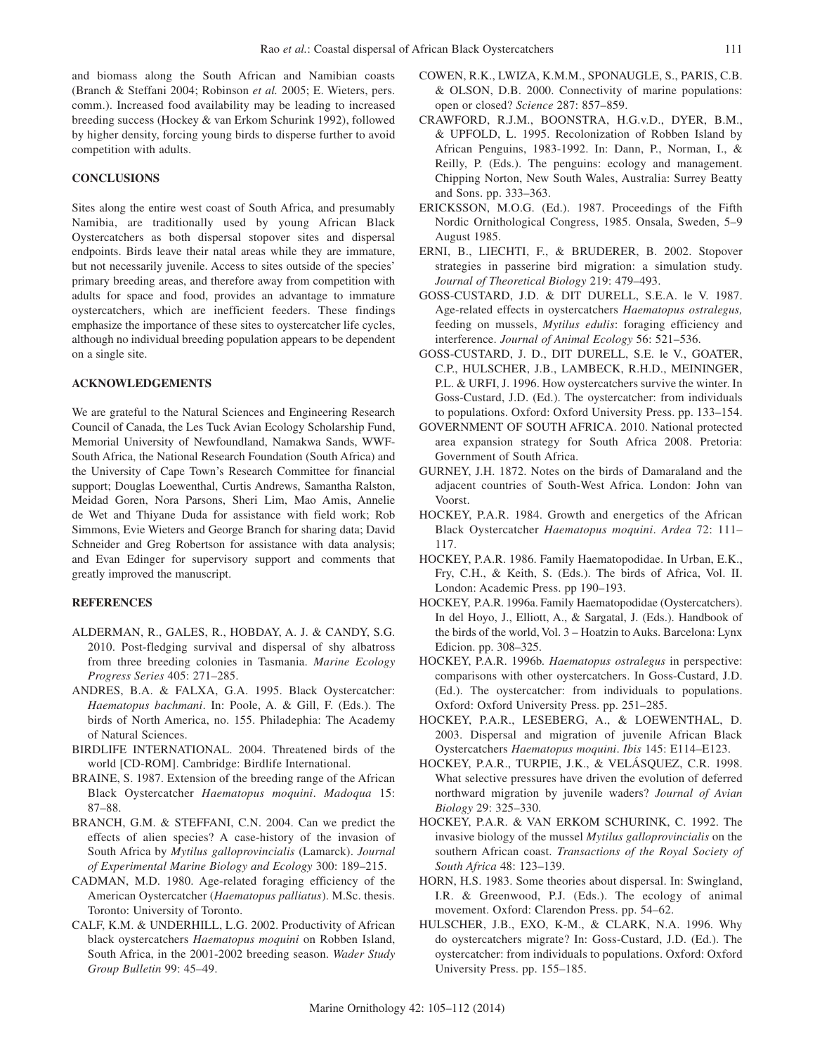and biomass along the South African and Namibian coasts (Branch & Steffani 2004; Robinson *et al.* 2005; E. Wieters, pers. comm.). Increased food availability may be leading to increased breeding success (Hockey & van Erkom Schurink 1992), followed by higher density, forcing young birds to disperse further to avoid competition with adults.

## **CONCLUSIONS**

Sites along the entire west coast of South Africa, and presumably Namibia, are traditionally used by young African Black Oystercatchers as both dispersal stopover sites and dispersal endpoints. Birds leave their natal areas while they are immature, but not necessarily juvenile. Access to sites outside of the species' primary breeding areas, and therefore away from competition with adults for space and food, provides an advantage to immature oystercatchers, which are inefficient feeders. These findings emphasize the importance of these sites to oystercatcher life cycles, although no individual breeding population appears to be dependent on a single site.

# **ACKNOWLEDGEMENTS**

We are grateful to the Natural Sciences and Engineering Research Council of Canada, the Les Tuck Avian Ecology Scholarship Fund, Memorial University of Newfoundland, Namakwa Sands, WWF-South Africa, the National Research Foundation (South Africa) and the University of Cape Town's Research Committee for financial support; Douglas Loewenthal, Curtis Andrews, Samantha Ralston, Meidad Goren, Nora Parsons, Sheri Lim, Mao Amis, Annelie de Wet and Thiyane Duda for assistance with field work; Rob Simmons, Evie Wieters and George Branch for sharing data; David Schneider and Greg Robertson for assistance with data analysis; and Evan Edinger for supervisory support and comments that greatly improved the manuscript.

# **REFERENCES**

- Alderman, R., Gales, R., Hobday, A. J. & Candy, S.G. 2010. Post-fledging survival and dispersal of shy albatross from three breeding colonies in Tasmania. *Marine Ecology Progress Series* 405: 271–285.
- ANDRES, B.A. & FALXA, G.A. 1995. Black Oystercatcher: *Haematopus bachmani*. In: Poole, A. & Gill, F. (Eds.). The birds of North America, no. 155. Philadephia: The Academy of Natural Sciences.
- BIRDLIFE INTERNATIONAL. 2004. Threatened birds of the world [CD-ROM]. Cambridge: Birdlife International.
- BRAINE, S. 1987. Extension of the breeding range of the African Black Oystercatcher *Haematopus moquini*. *Madoqua* 15: 87–88.
- BRANCH, G.M. & STEFFANI, C.N. 2004. Can we predict the effects of alien species? A case-history of the invasion of South Africa by *Mytilus galloprovincialis* (Lamarck). *Journal of Experimental Marine Biology and Ecology* 300: 189–215.
- CADMAN, M.D. 1980. Age-related foraging efficiency of the American Oystercatcher (*Haematopus palliatus*). M.Sc. thesis. Toronto: University of Toronto.
- CALF, K.M. & UNDERHILL, L.G. 2002. Productivity of African black oystercatchers *Haematopus moquini* on Robben Island, South Africa, in the 2001-2002 breeding season. *Wader Study Group Bulletin* 99: 45–49.
- COWEN, R.K., LWIZA, K.M.M., SPONAUGLE, S., PARIS, C.B. & OLSON, D.B. 2000. Connectivity of marine populations: open or closed? *Science* 287: 857–859.
- CRAWFORD, R.J.M., BOONSTRA, H.G.v.D., DYER, B.M., & UPFOLD, L. 1995. Recolonization of Robben Island by African Penguins, 1983-1992. In: Dann, P., Norman, I., & Reilly, P. (Eds.). The penguins: ecology and management. Chipping Norton, New South Wales, Australia: Surrey Beatty and Sons. pp. 333–363.
- ERICKSSON, M.O.G. (Ed.). 1987. Proceedings of the Fifth Nordic Ornithological Congress, 1985. Onsala, Sweden, 5–9 August 1985.
- ERNI, B., LIECHTI, F., & BRUDERER, B. 2002. Stopover strategies in passerine bird migration: a simulation study. *Journal of Theoretical Biology* 219: 479–493.
- GOSS-CUSTARD, J.D. & DIT DURELL, S.E.A. le V. 1987. Age-related effects in oystercatchers *Haematopus ostralegus,*  feeding on mussels, *Mytilus edulis*: foraging efficiency and interference. *Journal of Animal Ecology* 56: 521–536.
- GOSS-CUSTARD, J. D., DIT DURELL, S.E. le V., GOATER, C.P., HULSCHER, J.B., LAMBECK, R.H.D., MEININGER, P.L. & URFI, J. 1996. How oystercatchers survive the winter. In Goss-Custard, J.D. (Ed.). The oystercatcher: from individuals to populations. Oxford: Oxford University Press. pp. 133–154.
- GOVERNMENT OF SOUTH AFRICA. 2010. National protected area expansion strategy for South Africa 2008. Pretoria: Government of South Africa.
- GURNEY, J.H. 1872. Notes on the birds of Damaraland and the adjacent countries of South-West Africa. London: John van Voorst.
- HOCKEY, P.A.R. 1984. Growth and energetics of the African Black Oystercatcher *Haematopus moquini*. *Ardea* 72: 111– 117.
- HOCKEY, P.A.R. 1986. Family Haematopodidae. In Urban, E.K., Fry, C.H., & Keith, S. (Eds.). The birds of Africa, Vol. II. London: Academic Press. pp 190–193.
- HOCKEY, P.A.R. 1996a. Family Haematopodidae (Oystercatchers). In del Hoyo, J., Elliott, A., & Sargatal, J. (Eds.). Handbook of the birds of the world, Vol. 3 – Hoatzin to Auks. Barcelona: Lynx Edicion. pp. 308–325.
- HOCKEY, P.A.R. 1996b. *Haematopus ostralegus* in perspective: comparisons with other oystercatchers. In Goss-Custard, J.D. (Ed.). The oystercatcher: from individuals to populations. Oxford: Oxford University Press. pp. 251–285.
- HOCKEY, P.A.R., LESEBERG, A., & LOEWENTHAL, D. 2003. Dispersal and migration of juvenile African Black Oystercatchers *Haematopus moquini*. *Ibis* 145: E114–E123.
- HOCKEY, P.A.R., TURPIE, J.K., & VELÁSQUEZ, C.R. 1998. What selective pressures have driven the evolution of deferred northward migration by juvenile waders? *Journal of Avian Biology* 29: 325–330.
- HOCKEY, P.A.R. & VAN ERKOM SCHURINK, C. 1992. The invasive biology of the mussel *Mytilus galloprovincialis* on the southern African coast. *Transactions of the Royal Society of South Africa* 48: 123–139.
- HORN, H.S. 1983. Some theories about dispersal. In: Swingland, I.R. & Greenwood, P.J. (Eds.). The ecology of animal movement. Oxford: Clarendon Press. pp. 54–62.
- HULSCHER, J.B., EXO, K-M., & CLARK, N.A. 1996. Why do oystercatchers migrate? In: Goss-Custard, J.D. (Ed.). The oystercatcher: from individuals to populations. Oxford: Oxford University Press. pp. 155–185.